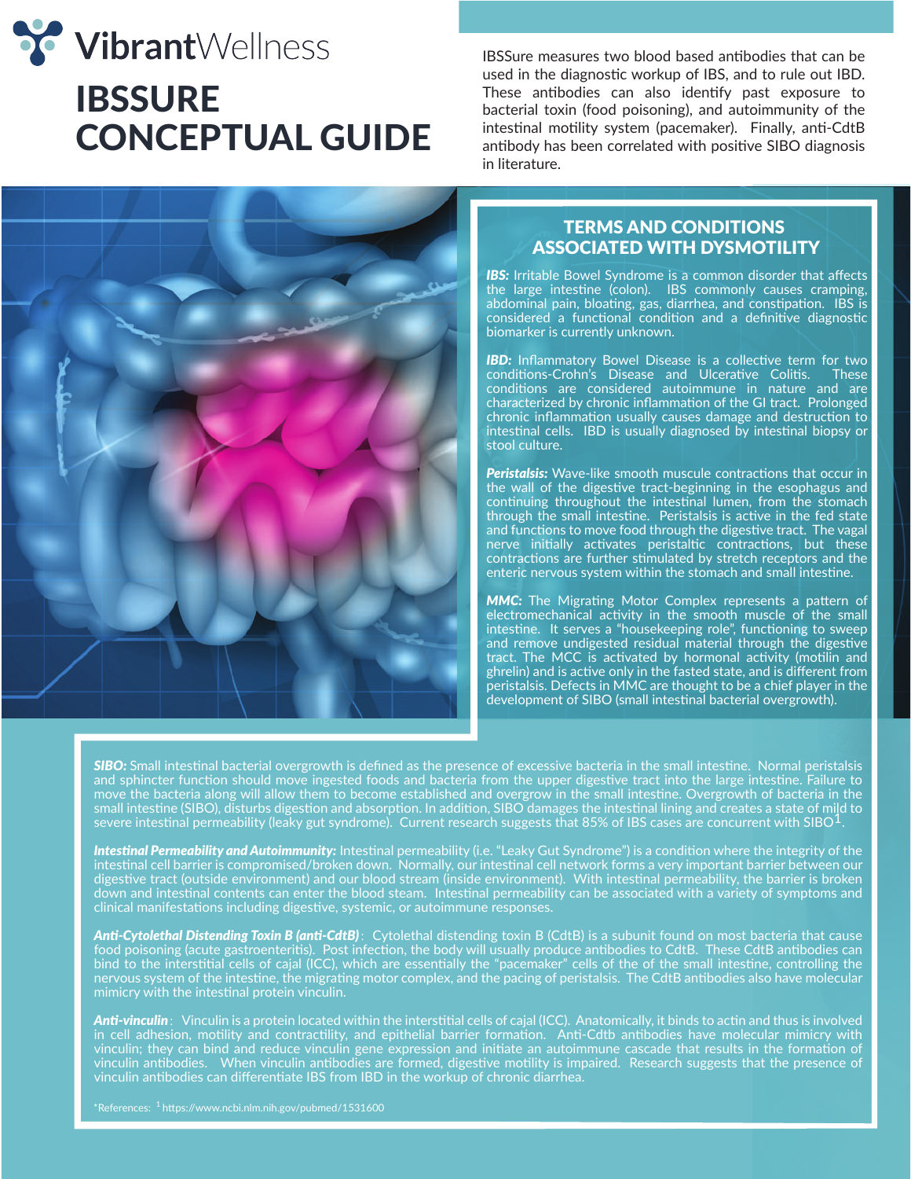



IBSSure measures two blood based antibodies that can be used in the diagnostic workup of IBS, and to rule out IBD. These antibodies can also identify past exposure to bacterial toxin (food poisoning), and autoimmunity of the intestinal motility system (pacemaker). Finally, anti-CdtB antibody has been correlated with positive SIBO diagnosis in literature.

## ASSOCIATED WITH DYSMOTILITY TERMS AND CONDITIONS

**IBS:** Irritable Bowel Syndrome is a common disorder that affects the large intestine (colon). IBS commonly causes cramping, abdominal pain, bloating, gas, diarrhea, and constipation. IBS is considered a functional condition and a definitive diagnostic biomarker is currently unknown.

**IBD:** Inflammatory Bowel Disease is a collective term for two conditions-Crohn's Disease and Ulcerative Colitis. These conditions are considered autoimmune in nature and are characterized by chronic inflammation of the GI tract. Prolonged chronic inflammation usually causes damage and destruction to intestinal cells. IBD is usually diagnosed by intestinal biopsy or stool culture.

*Peristalsis:* Wave-like smooth muscule contractions that occur in the wall of the digestive tract-beginning in the esophagus and continuing throughout the intestinal lumen, from the stomach through the small intestine. Peristalsis is active in the fed state and functions to move food through the digestive tract. The vagal nerve initially activates peristaltic contractions, but these contractions are further stimulated by stretch receptors and the enteric nervous system within the stomach and small intestine.

*MMC:* The Migrating Motor Complex represents a pattern of electromechanical activity in the smooth muscle of the small intestine. It serves a "housekeeping role", functioning to sweep and remove undigested residual material through the digestive tract. The MCC is activated by hormonal activity (motilin and ghrelin) and is active only in the fasted state, and is different from peristalsis. Defects in MMC are thought to be a chief player in the development of SIBO (small intestinal bacterial overgrowth).

*SIBO:* Small intestinal bacterial overgrowth is defined as the presence of excessive bacteria in the small intestine. Normal peristalsis and sphincter function should move ingested foods and bacteria from the upper digestive tract into the large intestine. Failure to move the bacteria along will allow them to become established and overgrow in the small intestine. Overgrowth of bacteria in the small intestine (SIBO), disturbs digestion and absorption. In addition, SIBO damages the intestinal lining and creates a state of mild to<br>severe intestinal permeability (leaky gut syndrome). Current research suggests that

*Intestinal Permeability and Autoimmunity:* Intestinal permeability (i.e. "Leaky Gut Syndrome") is a condition where the integrity of the intestinal cell barrier is compromised/broken down. Normally, our intestinal cell network forms a very important barrier between our digestive tract (outside environment) and our blood stream (inside environment). With intestinal permeability, the barrier is broken down and intestinal contents can enter the blood steam. Intestinal permeability can be associated with a variety of symptoms and clinical manifestations including digestive, systemic, or autoimmune responses.

Anti-Cytolethal Distending Toxin B (anti-CdtB): Cytolethal distending toxin B (CdtB) is a subunit found on most bacteria that cause food poisoning (acute gastroenteritis). Post infection, the body will usually produce antibodies to CdtB. These CdtB antibodies can bind to the interstitial cells of cajal (ICC), which are essentially the "pacemaker" cells of the of the small intestine, controlling the nervous system of the intestine, the migrating motor complex, and the pacing of peristalsis. The CdtB antibodies also have molecular mimicry with the intestinal protein vinculin.

Anti-vinculin: Vinculin is a protein located within the interstitial cells of cajal (ICC). Anatomically, it binds to actin and thus is involved in cell adhesion, motility and contractility, and epithelial barrier formation. Anti-Cdtb antibodies have molecular mimicry with vinculin; they can bind and reduce vinculin gene expression and initiate an autoimmune cascade that results in the formation of vinculin antibodies. When vinculin antibodies are formed, digestive motility is impaired. Research suggests that the presence of vinculin antibodies can differentiate IBS from IBD in the workup of chronic diarrhea.

 $^*$ References:  $^1$  https://www.ncbi.nlm.nih.gov/pubmed/1531600